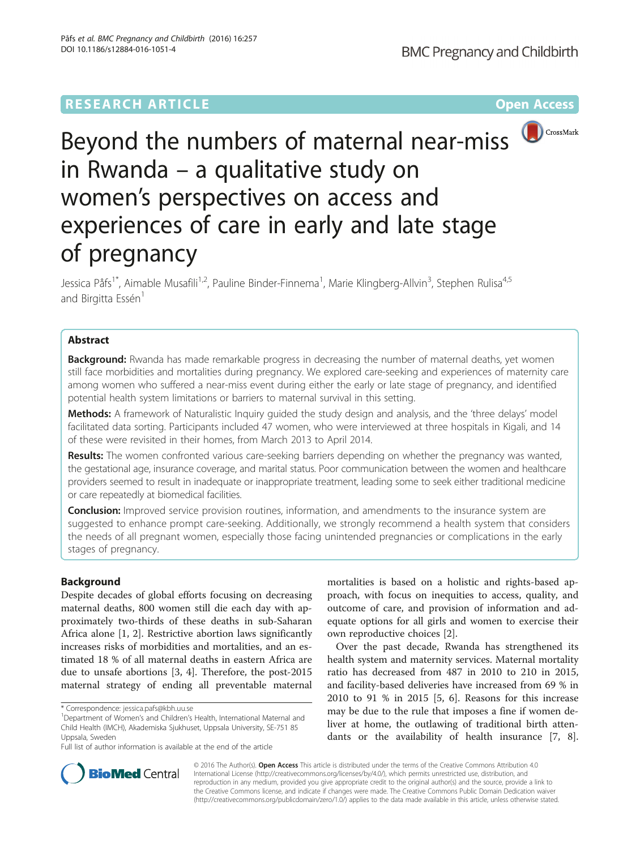## **RESEARCH ARTICLE Example 2014 12:30 The Community Community Community Community Community Community Community**



# Beyond the numbers of maternal near-miss **OCCROSSMark** in Rwanda – a qualitative study on women's perspectives on access and experiences of care in early and late stage of pregnancy

Jessica Påfs<sup>1\*</sup>, Aimable Musafili<sup>1,2</sup>, Pauline Binder-Finnema<sup>1</sup>, Marie Klingberg-Allvin<sup>3</sup>, Stephen Rulisa<sup>4,5</sup> and Birgitta Essén<sup>1</sup>

## Abstract

**Background:** Rwanda has made remarkable progress in decreasing the number of maternal deaths, yet women still face morbidities and mortalities during pregnancy. We explored care-seeking and experiences of maternity care among women who suffered a near-miss event during either the early or late stage of pregnancy, and identified potential health system limitations or barriers to maternal survival in this setting.

Methods: A framework of Naturalistic Inquiry guided the study design and analysis, and the 'three delays' model facilitated data sorting. Participants included 47 women, who were interviewed at three hospitals in Kigali, and 14 of these were revisited in their homes, from March 2013 to April 2014.

Results: The women confronted various care-seeking barriers depending on whether the pregnancy was wanted, the gestational age, insurance coverage, and marital status. Poor communication between the women and healthcare providers seemed to result in inadequate or inappropriate treatment, leading some to seek either traditional medicine or care repeatedly at biomedical facilities.

**Conclusion:** Improved service provision routines, information, and amendments to the insurance system are suggested to enhance prompt care-seeking. Additionally, we strongly recommend a health system that considers the needs of all pregnant women, especially those facing unintended pregnancies or complications in the early stages of pregnancy.

## Background

Despite decades of global efforts focusing on decreasing maternal deaths, 800 women still die each day with approximately two-thirds of these deaths in sub-Saharan Africa alone [\[1](#page-9-0), [2](#page-9-0)]. Restrictive abortion laws significantly increases risks of morbidities and mortalities, and an estimated 18 % of all maternal deaths in eastern Africa are due to unsafe abortions [[3, 4](#page-9-0)]. Therefore, the post-2015 maternal strategy of ending all preventable maternal

mortalities is based on a holistic and rights-based approach, with focus on inequities to access, quality, and outcome of care, and provision of information and adequate options for all girls and women to exercise their own reproductive choices [[2\]](#page-9-0).

Over the past decade, Rwanda has strengthened its health system and maternity services. Maternal mortality ratio has decreased from 487 in 2010 to 210 in 2015, and facility-based deliveries have increased from 69 % in 2010 to 91 % in 2015 [[5](#page-9-0), [6\]](#page-9-0). Reasons for this increase may be due to the rule that imposes a fine if women deliver at home, the outlawing of traditional birth attendants or the availability of health insurance [[7](#page-9-0), [8](#page-9-0)].



© 2016 The Author(s). Open Access This article is distributed under the terms of the Creative Commons Attribution 4.0 International License [\(http://creativecommons.org/licenses/by/4.0/](http://creativecommons.org/licenses/by/4.0/)), which permits unrestricted use, distribution, and reproduction in any medium, provided you give appropriate credit to the original author(s) and the source, provide a link to the Creative Commons license, and indicate if changes were made. The Creative Commons Public Domain Dedication waiver [\(http://creativecommons.org/publicdomain/zero/1.0/](http://creativecommons.org/publicdomain/zero/1.0/)) applies to the data made available in this article, unless otherwise stated.

<sup>\*</sup> Correspondence: [jessica.pafs@kbh.uu.se](mailto:jessica.pafs@kbh.uu.se) <sup>1</sup>

<sup>&</sup>lt;sup>1</sup>Department of Women's and Children's Health, International Maternal and Child Health (IMCH), Akademiska Sjukhuset, Uppsala University, SE-751 85 Uppsala, Sweden

Full list of author information is available at the end of the article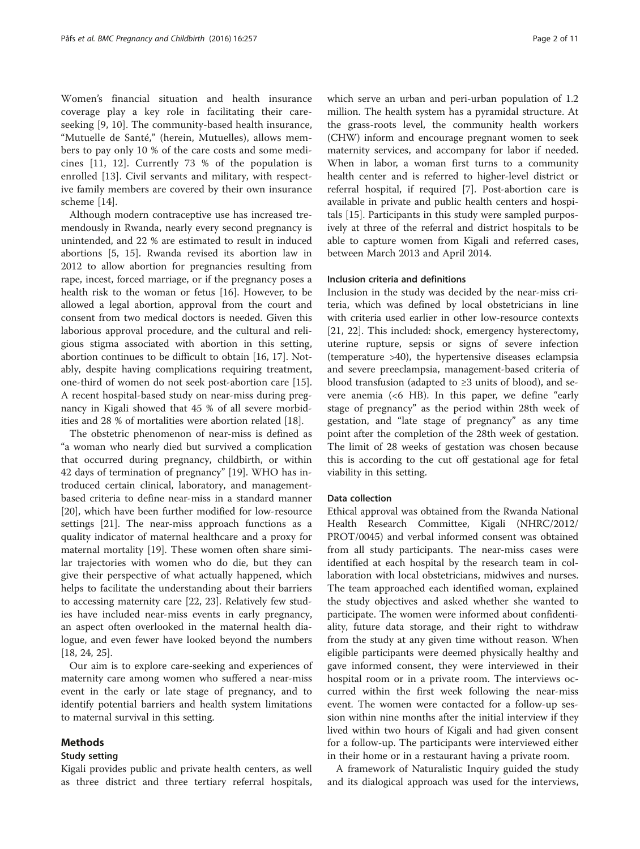Women's financial situation and health insurance coverage play a key role in facilitating their careseeking [[9, 10\]](#page-9-0). The community-based health insurance, "Mutuelle de Santé," (herein, Mutuelles), allows members to pay only 10 % of the care costs and some medicines [[11, 12\]](#page-9-0). Currently 73 % of the population is enrolled [[13\]](#page-9-0). Civil servants and military, with respective family members are covered by their own insurance scheme [[14\]](#page-9-0).

Although modern contraceptive use has increased tremendously in Rwanda, nearly every second pregnancy is unintended, and 22 % are estimated to result in induced abortions [[5, 15\]](#page-9-0). Rwanda revised its abortion law in 2012 to allow abortion for pregnancies resulting from rape, incest, forced marriage, or if the pregnancy poses a health risk to the woman or fetus [\[16](#page-9-0)]. However, to be allowed a legal abortion, approval from the court and consent from two medical doctors is needed. Given this laborious approval procedure, and the cultural and religious stigma associated with abortion in this setting, abortion continues to be difficult to obtain [\[16](#page-9-0), [17](#page-9-0)]. Notably, despite having complications requiring treatment, one-third of women do not seek post-abortion care [\[15](#page-9-0)]. A recent hospital-based study on near-miss during pregnancy in Kigali showed that 45 % of all severe morbidities and 28 % of mortalities were abortion related [[18\]](#page-9-0).

The obstetric phenomenon of near-miss is defined as "a woman who nearly died but survived a complication that occurred during pregnancy, childbirth, or within 42 days of termination of pregnancy" [[19\]](#page-9-0). WHO has introduced certain clinical, laboratory, and managementbased criteria to define near-miss in a standard manner [[20\]](#page-9-0), which have been further modified for low-resource settings [[21](#page-9-0)]. The near-miss approach functions as a quality indicator of maternal healthcare and a proxy for maternal mortality [\[19](#page-9-0)]. These women often share similar trajectories with women who do die, but they can give their perspective of what actually happened, which helps to facilitate the understanding about their barriers to accessing maternity care [[22, 23\]](#page-9-0). Relatively few studies have included near-miss events in early pregnancy, an aspect often overlooked in the maternal health dialogue, and even fewer have looked beyond the numbers [[18, 24, 25](#page-9-0)].

Our aim is to explore care-seeking and experiences of maternity care among women who suffered a near-miss event in the early or late stage of pregnancy, and to identify potential barriers and health system limitations to maternal survival in this setting.

## Methods

## Study setting

Kigali provides public and private health centers, as well as three district and three tertiary referral hospitals, which serve an urban and peri-urban population of 1.2 million. The health system has a pyramidal structure. At the grass-roots level, the community health workers (CHW) inform and encourage pregnant women to seek maternity services, and accompany for labor if needed. When in labor, a woman first turns to a community health center and is referred to higher-level district or referral hospital, if required [\[7](#page-9-0)]. Post-abortion care is available in private and public health centers and hospitals [[15\]](#page-9-0). Participants in this study were sampled purposively at three of the referral and district hospitals to be able to capture women from Kigali and referred cases, between March 2013 and April 2014.

## Inclusion criteria and definitions

Inclusion in the study was decided by the near-miss criteria, which was defined by local obstetricians in line with criteria used earlier in other low-resource contexts [[21, 22](#page-9-0)]. This included: shock, emergency hysterectomy, uterine rupture, sepsis or signs of severe infection (temperature >40), the hypertensive diseases eclampsia and severe preeclampsia, management-based criteria of blood transfusion (adapted to  $\geq$ 3 units of blood), and severe anemia (<6 HB). In this paper, we define "early stage of pregnancy" as the period within 28th week of gestation, and "late stage of pregnancy" as any time point after the completion of the 28th week of gestation. The limit of 28 weeks of gestation was chosen because this is according to the cut off gestational age for fetal viability in this setting.

#### Data collection

Ethical approval was obtained from the Rwanda National Health Research Committee, Kigali (NHRC/2012/ PROT/0045) and verbal informed consent was obtained from all study participants. The near-miss cases were identified at each hospital by the research team in collaboration with local obstetricians, midwives and nurses. The team approached each identified woman, explained the study objectives and asked whether she wanted to participate. The women were informed about confidentiality, future data storage, and their right to withdraw from the study at any given time without reason. When eligible participants were deemed physically healthy and gave informed consent, they were interviewed in their hospital room or in a private room. The interviews occurred within the first week following the near-miss event. The women were contacted for a follow-up session within nine months after the initial interview if they lived within two hours of Kigali and had given consent for a follow-up. The participants were interviewed either in their home or in a restaurant having a private room.

A framework of Naturalistic Inquiry guided the study and its dialogical approach was used for the interviews,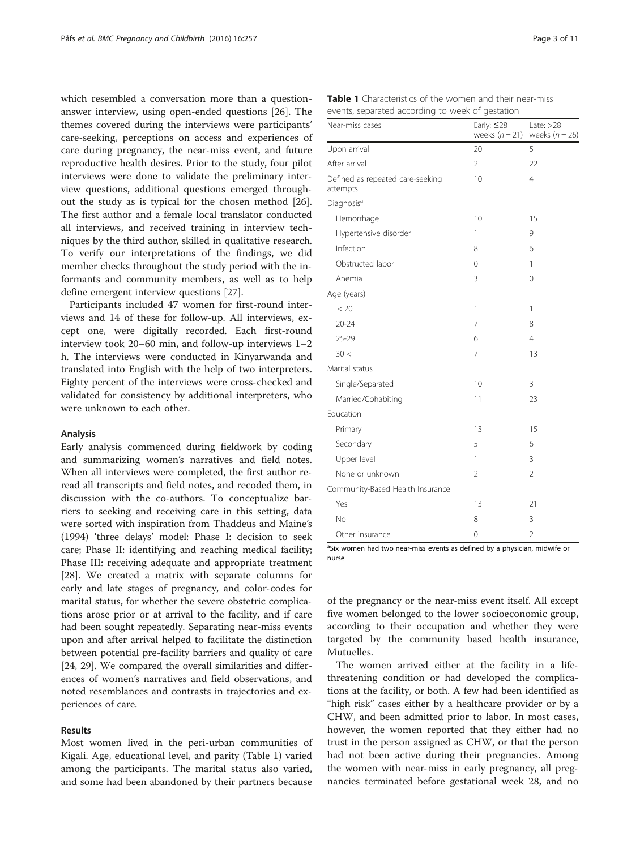which resembled a conversation more than a questionanswer interview, using open-ended questions [[26](#page-9-0)]. The themes covered during the interviews were participants' care-seeking, perceptions on access and experiences of care during pregnancy, the near-miss event, and future reproductive health desires. Prior to the study, four pilot interviews were done to validate the preliminary interview questions, additional questions emerged throughout the study as is typical for the chosen method [\[26](#page-9-0)]. The first author and a female local translator conducted all interviews, and received training in interview techniques by the third author, skilled in qualitative research. To verify our interpretations of the findings, we did member checks throughout the study period with the informants and community members, as well as to help define emergent interview questions [\[27](#page-9-0)].

Participants included 47 women for first-round interviews and 14 of these for follow-up. All interviews, except one, were digitally recorded. Each first-round interview took 20–60 min, and follow-up interviews 1–2 h. The interviews were conducted in Kinyarwanda and translated into English with the help of two interpreters. Eighty percent of the interviews were cross-checked and validated for consistency by additional interpreters, who were unknown to each other.

#### Analysis

Early analysis commenced during fieldwork by coding and summarizing women's narratives and field notes. When all interviews were completed, the first author reread all transcripts and field notes, and recoded them, in discussion with the co-authors. To conceptualize barriers to seeking and receiving care in this setting, data were sorted with inspiration from Thaddeus and Maine's (1994) 'three delays' model: Phase I: decision to seek care; Phase II: identifying and reaching medical facility; Phase III: receiving adequate and appropriate treatment [[28\]](#page-9-0). We created a matrix with separate columns for early and late stages of pregnancy, and color-codes for marital status, for whether the severe obstetric complications arose prior or at arrival to the facility, and if care had been sought repeatedly. Separating near-miss events upon and after arrival helped to facilitate the distinction between potential pre-facility barriers and quality of care [[24, 29\]](#page-9-0). We compared the overall similarities and differences of women's narratives and field observations, and noted resemblances and contrasts in trajectories and experiences of care.

## Results

Most women lived in the peri-urban communities of Kigali. Age, educational level, and parity (Table 1) varied among the participants. The marital status also varied, and some had been abandoned by their partners because

| Near-miss cases                              | Early: $\leq$ 28<br>weeks $(n=21)$ | Late: $>28$<br>weeks $(n = 26)$ |
|----------------------------------------------|------------------------------------|---------------------------------|
| Upon arrival                                 | 20                                 | 5                               |
| After arrival                                | $\overline{2}$                     | 22                              |
| Defined as repeated care-seeking<br>attempts | 10                                 | $\overline{4}$                  |
| Diagnosis <sup>a</sup>                       |                                    |                                 |
| Hemorrhage                                   | 10                                 | 15                              |
| Hypertensive disorder                        | 1                                  | 9                               |
| Infection                                    | 8                                  | 6                               |
| Obstructed labor                             | 0                                  | 1                               |
| Anemia                                       | 3                                  | $\mathbf 0$                     |
| Age (years)                                  |                                    |                                 |
| < 20                                         | 1                                  | 1                               |
| $20 - 24$                                    | $\overline{7}$                     | 8                               |
| $25 - 29$                                    | 6                                  | $\overline{4}$                  |
| 30 <                                         | 7                                  | 13                              |
| Marital status                               |                                    |                                 |
| Single/Separated                             | 10                                 | 3                               |
| Married/Cohabiting                           | 11                                 | 23                              |
| Education                                    |                                    |                                 |
| Primary                                      | 13                                 | 15                              |
| Secondary                                    | 5                                  | 6                               |
| Upper level                                  | 1                                  | 3                               |
| None or unknown                              | 2                                  | $\overline{2}$                  |
| Community-Based Health Insurance             |                                    |                                 |
| Yes                                          | 13                                 | 21                              |
| No                                           | 8                                  | 3                               |
| Other insurance                              | 0                                  | $\overline{2}$                  |

Table 1 Characteristics of the women and their near-miss events, separated according to week of gestation

<sup>a</sup>Six women had two near-miss events as defined by a physician, midwife or nurse

of the pregnancy or the near-miss event itself. All except five women belonged to the lower socioeconomic group, according to their occupation and whether they were targeted by the community based health insurance, Mutuelles.

The women arrived either at the facility in a lifethreatening condition or had developed the complications at the facility, or both. A few had been identified as "high risk" cases either by a healthcare provider or by a CHW, and been admitted prior to labor. In most cases, however, the women reported that they either had no trust in the person assigned as CHW, or that the person had not been active during their pregnancies. Among the women with near-miss in early pregnancy, all pregnancies terminated before gestational week 28, and no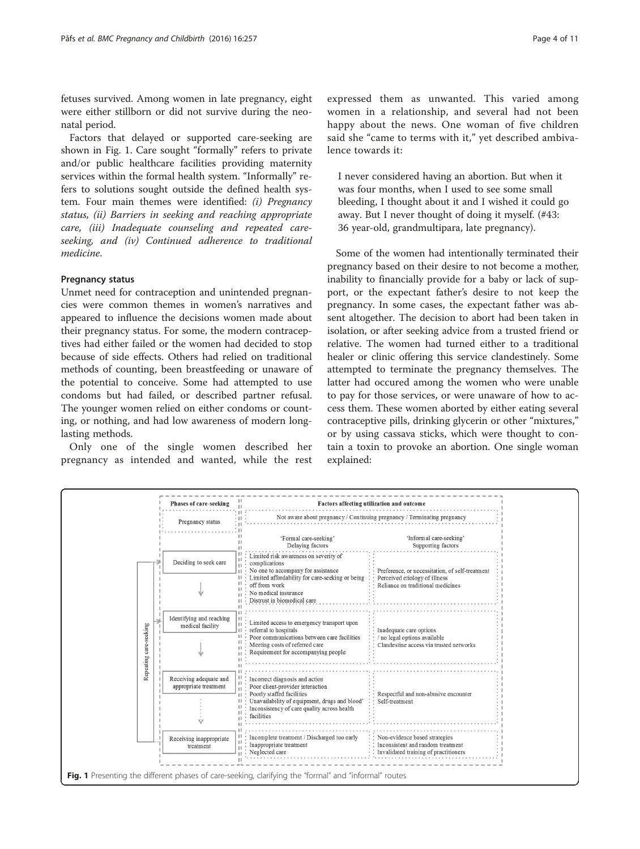fetuses survived. Among women in late pregnancy, eight were either stillborn or did not survive during the neonatal period.

Factors that delayed or supported care-seeking are shown in Fig. 1. Care sought "formally" refers to private and/or public healthcare facilities providing maternity services within the formal health system. "Informally" refers to solutions sought outside the defined health system. Four main themes were identified: (i) Pregnancy status, (ii) Barriers in seeking and reaching appropriate care, (iii) Inadequate counseling and repeated careseeking, and (iv) Continued adherence to traditional medicine.

## Pregnancy status

Unmet need for contraception and unintended pregnancies were common themes in women's narratives and appeared to influence the decisions women made about their pregnancy status. For some, the modern contraceptives had either failed or the women had decided to stop because of side effects. Others had relied on traditional methods of counting, been breastfeeding or unaware of the potential to conceive. Some had attempted to use condoms but had failed, or described partner refusal. The younger women relied on either condoms or counting, or nothing, and had low awareness of modern longlasting methods.

Only one of the single women described her pregnancy as intended and wanted, while the rest expressed them as unwanted. This varied among women in a relationship, and several had not been happy about the news. One woman of five children said she "came to terms with it," yet described ambivalence towards it:

I never considered having an abortion. But when it was four months, when I used to see some small bleeding, I thought about it and I wished it could go away. But I never thought of doing it myself. (#43: 36 year-old, grandmultipara, late pregnancy).

Some of the women had intentionally terminated their pregnancy based on their desire to not become a mother, inability to financially provide for a baby or lack of support, or the expectant father's desire to not keep the pregnancy. In some cases, the expectant father was absent altogether. The decision to abort had been taken in isolation, or after seeking advice from a trusted friend or relative. The women had turned either to a traditional healer or clinic offering this service clandestinely. Some attempted to terminate the pregnancy themselves. The latter had occured among the women who were unable to pay for those services, or were unaware of how to access them. These women aborted by either eating several contraceptive pills, drinking glycerin or other "mixtures," or by using cassava sticks, which were thought to contain a toxin to provoke an abortion. One single woman explained:

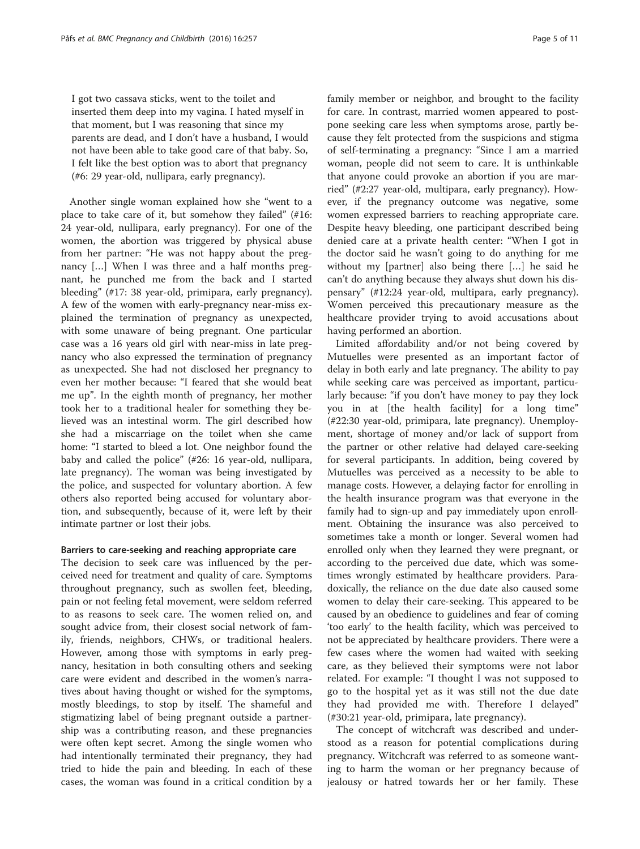I got two cassava sticks, went to the toilet and inserted them deep into my vagina. I hated myself in that moment, but I was reasoning that since my parents are dead, and I don't have a husband, I would not have been able to take good care of that baby. So, I felt like the best option was to abort that pregnancy (#6: 29 year-old, nullipara, early pregnancy).

Another single woman explained how she "went to a place to take care of it, but somehow they failed" (#16: 24 year-old, nullipara, early pregnancy). For one of the women, the abortion was triggered by physical abuse from her partner: "He was not happy about the pregnancy […] When I was three and a half months pregnant, he punched me from the back and I started bleeding" (#17: 38 year-old, primipara, early pregnancy). A few of the women with early-pregnancy near-miss explained the termination of pregnancy as unexpected, with some unaware of being pregnant. One particular case was a 16 years old girl with near-miss in late pregnancy who also expressed the termination of pregnancy as unexpected. She had not disclosed her pregnancy to even her mother because: "I feared that she would beat me up". In the eighth month of pregnancy, her mother took her to a traditional healer for something they believed was an intestinal worm. The girl described how she had a miscarriage on the toilet when she came home: "I started to bleed a lot. One neighbor found the baby and called the police" (#26: 16 year-old, nullipara, late pregnancy). The woman was being investigated by the police, and suspected for voluntary abortion. A few others also reported being accused for voluntary abortion, and subsequently, because of it, were left by their intimate partner or lost their jobs.

## Barriers to care-seeking and reaching appropriate care

The decision to seek care was influenced by the perceived need for treatment and quality of care. Symptoms throughout pregnancy, such as swollen feet, bleeding, pain or not feeling fetal movement, were seldom referred to as reasons to seek care. The women relied on, and sought advice from, their closest social network of family, friends, neighbors, CHWs, or traditional healers. However, among those with symptoms in early pregnancy, hesitation in both consulting others and seeking care were evident and described in the women's narratives about having thought or wished for the symptoms, mostly bleedings, to stop by itself. The shameful and stigmatizing label of being pregnant outside a partnership was a contributing reason, and these pregnancies were often kept secret. Among the single women who had intentionally terminated their pregnancy, they had tried to hide the pain and bleeding. In each of these cases, the woman was found in a critical condition by a family member or neighbor, and brought to the facility for care. In contrast, married women appeared to postpone seeking care less when symptoms arose, partly because they felt protected from the suspicions and stigma of self-terminating a pregnancy: "Since I am a married woman, people did not seem to care. It is unthinkable that anyone could provoke an abortion if you are married" (#2:27 year-old, multipara, early pregnancy). However, if the pregnancy outcome was negative, some women expressed barriers to reaching appropriate care. Despite heavy bleeding, one participant described being denied care at a private health center: "When I got in the doctor said he wasn't going to do anything for me without my [partner] also being there […] he said he can't do anything because they always shut down his dispensary" (#12:24 year-old, multipara, early pregnancy). Women perceived this precautionary measure as the healthcare provider trying to avoid accusations about having performed an abortion.

Limited affordability and/or not being covered by Mutuelles were presented as an important factor of delay in both early and late pregnancy. The ability to pay while seeking care was perceived as important, particularly because: "if you don't have money to pay they lock you in at [the health facility] for a long time" (#22:30 year-old, primipara, late pregnancy). Unemployment, shortage of money and/or lack of support from the partner or other relative had delayed care-seeking for several participants. In addition, being covered by Mutuelles was perceived as a necessity to be able to manage costs. However, a delaying factor for enrolling in the health insurance program was that everyone in the family had to sign-up and pay immediately upon enrollment. Obtaining the insurance was also perceived to sometimes take a month or longer. Several women had enrolled only when they learned they were pregnant, or according to the perceived due date, which was sometimes wrongly estimated by healthcare providers. Paradoxically, the reliance on the due date also caused some women to delay their care-seeking. This appeared to be caused by an obedience to guidelines and fear of coming 'too early' to the health facility, which was perceived to not be appreciated by healthcare providers. There were a few cases where the women had waited with seeking care, as they believed their symptoms were not labor related. For example: "I thought I was not supposed to go to the hospital yet as it was still not the due date they had provided me with. Therefore I delayed" (#30:21 year-old, primipara, late pregnancy).

The concept of witchcraft was described and understood as a reason for potential complications during pregnancy. Witchcraft was referred to as someone wanting to harm the woman or her pregnancy because of jealousy or hatred towards her or her family. These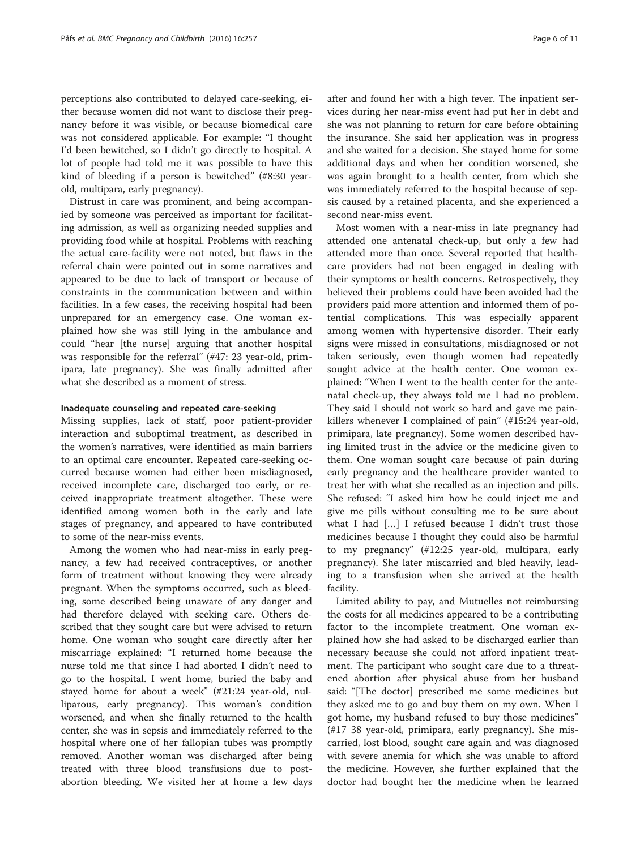perceptions also contributed to delayed care-seeking, either because women did not want to disclose their pregnancy before it was visible, or because biomedical care was not considered applicable. For example: "I thought I'd been bewitched, so I didn't go directly to hospital. A lot of people had told me it was possible to have this kind of bleeding if a person is bewitched" (#8:30 yearold, multipara, early pregnancy).

Distrust in care was prominent, and being accompanied by someone was perceived as important for facilitating admission, as well as organizing needed supplies and providing food while at hospital. Problems with reaching the actual care-facility were not noted, but flaws in the referral chain were pointed out in some narratives and appeared to be due to lack of transport or because of constraints in the communication between and within facilities. In a few cases, the receiving hospital had been unprepared for an emergency case. One woman explained how she was still lying in the ambulance and could "hear [the nurse] arguing that another hospital was responsible for the referral" (#47: 23 year-old, primipara, late pregnancy). She was finally admitted after what she described as a moment of stress.

## Inadequate counseling and repeated care-seeking

Missing supplies, lack of staff, poor patient-provider interaction and suboptimal treatment, as described in the women's narratives, were identified as main barriers to an optimal care encounter. Repeated care-seeking occurred because women had either been misdiagnosed, received incomplete care, discharged too early, or received inappropriate treatment altogether. These were identified among women both in the early and late stages of pregnancy, and appeared to have contributed to some of the near-miss events.

Among the women who had near-miss in early pregnancy, a few had received contraceptives, or another form of treatment without knowing they were already pregnant. When the symptoms occurred, such as bleeding, some described being unaware of any danger and had therefore delayed with seeking care. Others described that they sought care but were advised to return home. One woman who sought care directly after her miscarriage explained: "I returned home because the nurse told me that since I had aborted I didn't need to go to the hospital. I went home, buried the baby and stayed home for about a week" (#21:24 year-old, nulliparous, early pregnancy). This woman's condition worsened, and when she finally returned to the health center, she was in sepsis and immediately referred to the hospital where one of her fallopian tubes was promptly removed. Another woman was discharged after being treated with three blood transfusions due to postabortion bleeding. We visited her at home a few days after and found her with a high fever. The inpatient services during her near-miss event had put her in debt and she was not planning to return for care before obtaining the insurance. She said her application was in progress and she waited for a decision. She stayed home for some additional days and when her condition worsened, she was again brought to a health center, from which she was immediately referred to the hospital because of sepsis caused by a retained placenta, and she experienced a second near-miss event.

Most women with a near-miss in late pregnancy had attended one antenatal check-up, but only a few had attended more than once. Several reported that healthcare providers had not been engaged in dealing with their symptoms or health concerns. Retrospectively, they believed their problems could have been avoided had the providers paid more attention and informed them of potential complications. This was especially apparent among women with hypertensive disorder. Their early signs were missed in consultations, misdiagnosed or not taken seriously, even though women had repeatedly sought advice at the health center. One woman explained: "When I went to the health center for the antenatal check-up, they always told me I had no problem. They said I should not work so hard and gave me painkillers whenever I complained of pain" (#15:24 year-old, primipara, late pregnancy). Some women described having limited trust in the advice or the medicine given to them. One woman sought care because of pain during early pregnancy and the healthcare provider wanted to treat her with what she recalled as an injection and pills. She refused: "I asked him how he could inject me and give me pills without consulting me to be sure about what I had […] I refused because I didn't trust those medicines because I thought they could also be harmful to my pregnancy" (#12:25 year-old, multipara, early pregnancy). She later miscarried and bled heavily, leading to a transfusion when she arrived at the health facility.

Limited ability to pay, and Mutuelles not reimbursing the costs for all medicines appeared to be a contributing factor to the incomplete treatment. One woman explained how she had asked to be discharged earlier than necessary because she could not afford inpatient treatment. The participant who sought care due to a threatened abortion after physical abuse from her husband said: "[The doctor] prescribed me some medicines but they asked me to go and buy them on my own. When I got home, my husband refused to buy those medicines" (#17 38 year-old, primipara, early pregnancy). She miscarried, lost blood, sought care again and was diagnosed with severe anemia for which she was unable to afford the medicine. However, she further explained that the doctor had bought her the medicine when he learned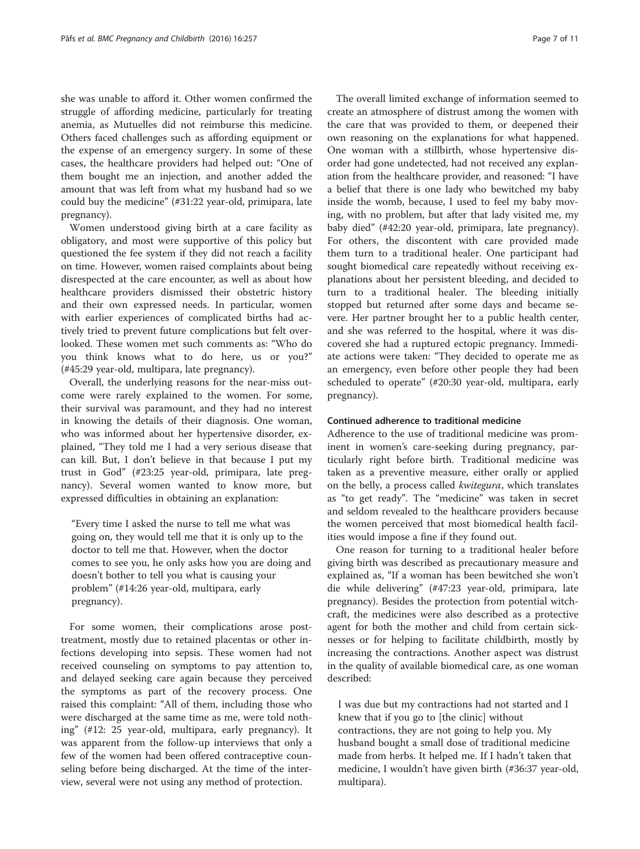she was unable to afford it. Other women confirmed the struggle of affording medicine, particularly for treating anemia, as Mutuelles did not reimburse this medicine. Others faced challenges such as affording equipment or the expense of an emergency surgery. In some of these cases, the healthcare providers had helped out: "One of them bought me an injection, and another added the amount that was left from what my husband had so we could buy the medicine" (#31:22 year-old, primipara, late pregnancy).

Women understood giving birth at a care facility as obligatory, and most were supportive of this policy but questioned the fee system if they did not reach a facility on time. However, women raised complaints about being disrespected at the care encounter, as well as about how healthcare providers dismissed their obstetric history and their own expressed needs. In particular, women with earlier experiences of complicated births had actively tried to prevent future complications but felt overlooked. These women met such comments as: "Who do you think knows what to do here, us or you?" (#45:29 year-old, multipara, late pregnancy).

Overall, the underlying reasons for the near-miss outcome were rarely explained to the women. For some, their survival was paramount, and they had no interest in knowing the details of their diagnosis. One woman, who was informed about her hypertensive disorder, explained, "They told me I had a very serious disease that can kill. But, I don't believe in that because I put my trust in God" (#23:25 year-old, primipara, late pregnancy). Several women wanted to know more, but expressed difficulties in obtaining an explanation:

"Every time I asked the nurse to tell me what was going on, they would tell me that it is only up to the doctor to tell me that. However, when the doctor comes to see you, he only asks how you are doing and doesn't bother to tell you what is causing your problem" (#14:26 year-old, multipara, early pregnancy).

For some women, their complications arose posttreatment, mostly due to retained placentas or other infections developing into sepsis. These women had not received counseling on symptoms to pay attention to, and delayed seeking care again because they perceived the symptoms as part of the recovery process. One raised this complaint: "All of them, including those who were discharged at the same time as me, were told nothing" (#12: 25 year-old, multipara, early pregnancy). It was apparent from the follow-up interviews that only a few of the women had been offered contraceptive counseling before being discharged. At the time of the interview, several were not using any method of protection.

The overall limited exchange of information seemed to create an atmosphere of distrust among the women with the care that was provided to them, or deepened their own reasoning on the explanations for what happened. One woman with a stillbirth, whose hypertensive disorder had gone undetected, had not received any explanation from the healthcare provider, and reasoned: "I have a belief that there is one lady who bewitched my baby inside the womb, because, I used to feel my baby moving, with no problem, but after that lady visited me, my baby died" (#42:20 year-old, primipara, late pregnancy). For others, the discontent with care provided made them turn to a traditional healer. One participant had sought biomedical care repeatedly without receiving explanations about her persistent bleeding, and decided to turn to a traditional healer. The bleeding initially stopped but returned after some days and became severe. Her partner brought her to a public health center, and she was referred to the hospital, where it was discovered she had a ruptured ectopic pregnancy. Immediate actions were taken: "They decided to operate me as an emergency, even before other people they had been scheduled to operate" (#20:30 year-old, multipara, early pregnancy).

## Continued adherence to traditional medicine

Adherence to the use of traditional medicine was prominent in women's care-seeking during pregnancy, particularly right before birth. Traditional medicine was taken as a preventive measure, either orally or applied on the belly, a process called kwitegura, which translates as "to get ready". The "medicine" was taken in secret and seldom revealed to the healthcare providers because the women perceived that most biomedical health facilities would impose a fine if they found out.

One reason for turning to a traditional healer before giving birth was described as precautionary measure and explained as, "If a woman has been bewitched she won't die while delivering" (#47:23 year-old, primipara, late pregnancy). Besides the protection from potential witchcraft, the medicines were also described as a protective agent for both the mother and child from certain sicknesses or for helping to facilitate childbirth, mostly by increasing the contractions. Another aspect was distrust in the quality of available biomedical care, as one woman described:

I was due but my contractions had not started and I knew that if you go to [the clinic] without contractions, they are not going to help you. My husband bought a small dose of traditional medicine made from herbs. It helped me. If I hadn't taken that medicine, I wouldn't have given birth (#36:37 year-old, multipara).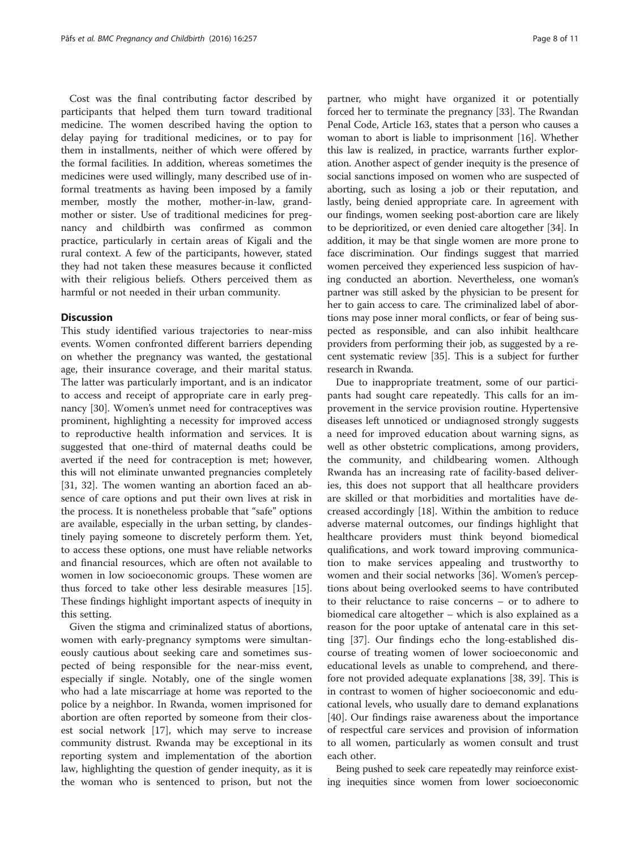Cost was the final contributing factor described by participants that helped them turn toward traditional medicine. The women described having the option to delay paying for traditional medicines, or to pay for them in installments, neither of which were offered by the formal facilities. In addition, whereas sometimes the medicines were used willingly, many described use of informal treatments as having been imposed by a family member, mostly the mother, mother-in-law, grandmother or sister. Use of traditional medicines for pregnancy and childbirth was confirmed as common practice, particularly in certain areas of Kigali and the rural context. A few of the participants, however, stated they had not taken these measures because it conflicted with their religious beliefs. Others perceived them as harmful or not needed in their urban community.

## **Discussion**

This study identified various trajectories to near-miss events. Women confronted different barriers depending on whether the pregnancy was wanted, the gestational age, their insurance coverage, and their marital status. The latter was particularly important, and is an indicator to access and receipt of appropriate care in early pregnancy [\[30\]](#page-9-0). Women's unmet need for contraceptives was prominent, highlighting a necessity for improved access to reproductive health information and services. It is suggested that one-third of maternal deaths could be averted if the need for contraception is met; however, this will not eliminate unwanted pregnancies completely [[31, 32\]](#page-9-0). The women wanting an abortion faced an absence of care options and put their own lives at risk in the process. It is nonetheless probable that "safe" options are available, especially in the urban setting, by clandestinely paying someone to discretely perform them. Yet, to access these options, one must have reliable networks and financial resources, which are often not available to women in low socioeconomic groups. These women are thus forced to take other less desirable measures [\[15](#page-9-0)]. These findings highlight important aspects of inequity in this setting.

Given the stigma and criminalized status of abortions, women with early-pregnancy symptoms were simultaneously cautious about seeking care and sometimes suspected of being responsible for the near-miss event, especially if single. Notably, one of the single women who had a late miscarriage at home was reported to the police by a neighbor. In Rwanda, women imprisoned for abortion are often reported by someone from their closest social network [\[17\]](#page-9-0), which may serve to increase community distrust. Rwanda may be exceptional in its reporting system and implementation of the abortion law, highlighting the question of gender inequity, as it is the woman who is sentenced to prison, but not the

partner, who might have organized it or potentially forced her to terminate the pregnancy [[33](#page-9-0)]. The Rwandan Penal Code, Article 163, states that a person who causes a woman to abort is liable to imprisonment [\[16](#page-9-0)]. Whether this law is realized, in practice, warrants further exploration. Another aspect of gender inequity is the presence of social sanctions imposed on women who are suspected of aborting, such as losing a job or their reputation, and lastly, being denied appropriate care. In agreement with our findings, women seeking post-abortion care are likely to be deprioritized, or even denied care altogether [\[34\]](#page-9-0). In addition, it may be that single women are more prone to face discrimination. Our findings suggest that married women perceived they experienced less suspicion of having conducted an abortion. Nevertheless, one woman's partner was still asked by the physician to be present for her to gain access to care. The criminalized label of abortions may pose inner moral conflicts, or fear of being suspected as responsible, and can also inhibit healthcare providers from performing their job, as suggested by a recent systematic review [\[35\]](#page-9-0). This is a subject for further research in Rwanda.

Due to inappropriate treatment, some of our participants had sought care repeatedly. This calls for an improvement in the service provision routine. Hypertensive diseases left unnoticed or undiagnosed strongly suggests a need for improved education about warning signs, as well as other obstetric complications, among providers, the community, and childbearing women. Although Rwanda has an increasing rate of facility-based deliveries, this does not support that all healthcare providers are skilled or that morbidities and mortalities have decreased accordingly [\[18\]](#page-9-0). Within the ambition to reduce adverse maternal outcomes, our findings highlight that healthcare providers must think beyond biomedical qualifications, and work toward improving communication to make services appealing and trustworthy to women and their social networks [\[36\]](#page-9-0). Women's perceptions about being overlooked seems to have contributed to their reluctance to raise concerns – or to adhere to biomedical care altogether – which is also explained as a reason for the poor uptake of antenatal care in this setting [\[37\]](#page-9-0). Our findings echo the long-established discourse of treating women of lower socioeconomic and educational levels as unable to comprehend, and therefore not provided adequate explanations [\[38](#page-9-0), [39](#page-9-0)]. This is in contrast to women of higher socioeconomic and educational levels, who usually dare to demand explanations [[40\]](#page-9-0). Our findings raise awareness about the importance of respectful care services and provision of information to all women, particularly as women consult and trust each other.

Being pushed to seek care repeatedly may reinforce existing inequities since women from lower socioeconomic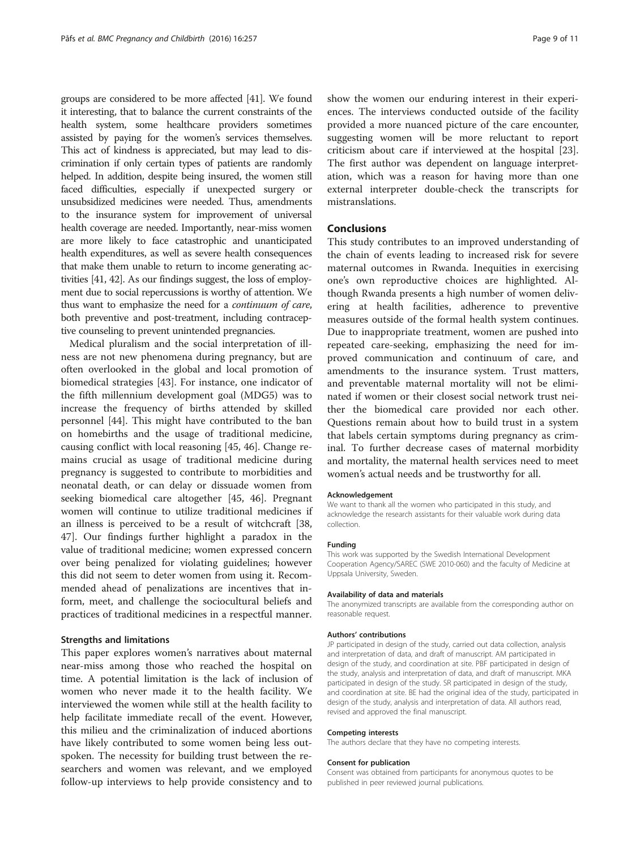groups are considered to be more affected [\[41\]](#page-9-0). We found it interesting, that to balance the current constraints of the health system, some healthcare providers sometimes assisted by paying for the women's services themselves. This act of kindness is appreciated, but may lead to discrimination if only certain types of patients are randomly helped. In addition, despite being insured, the women still faced difficulties, especially if unexpected surgery or unsubsidized medicines were needed. Thus, amendments to the insurance system for improvement of universal health coverage are needed. Importantly, near-miss women are more likely to face catastrophic and unanticipated health expenditures, as well as severe health consequences that make them unable to return to income generating activities [[41](#page-9-0), [42](#page-9-0)]. As our findings suggest, the loss of employment due to social repercussions is worthy of attention. We thus want to emphasize the need for a continuum of care, both preventive and post-treatment, including contraceptive counseling to prevent unintended pregnancies.

Medical pluralism and the social interpretation of illness are not new phenomena during pregnancy, but are often overlooked in the global and local promotion of biomedical strategies [\[43](#page-9-0)]. For instance, one indicator of the fifth millennium development goal (MDG5) was to increase the frequency of births attended by skilled personnel [[44\]](#page-9-0). This might have contributed to the ban on homebirths and the usage of traditional medicine, causing conflict with local reasoning [\[45, 46\]](#page-10-0). Change remains crucial as usage of traditional medicine during pregnancy is suggested to contribute to morbidities and neonatal death, or can delay or dissuade women from seeking biomedical care altogether [\[45](#page-10-0), [46\]](#page-10-0). Pregnant women will continue to utilize traditional medicines if an illness is perceived to be a result of witchcraft [[38](#page-9-0), [47\]](#page-10-0). Our findings further highlight a paradox in the value of traditional medicine; women expressed concern over being penalized for violating guidelines; however this did not seem to deter women from using it. Recommended ahead of penalizations are incentives that inform, meet, and challenge the sociocultural beliefs and practices of traditional medicines in a respectful manner.

#### Strengths and limitations

This paper explores women's narratives about maternal near-miss among those who reached the hospital on time. A potential limitation is the lack of inclusion of women who never made it to the health facility. We interviewed the women while still at the health facility to help facilitate immediate recall of the event. However, this milieu and the criminalization of induced abortions have likely contributed to some women being less outspoken. The necessity for building trust between the researchers and women was relevant, and we employed follow-up interviews to help provide consistency and to

show the women our enduring interest in their experiences. The interviews conducted outside of the facility provided a more nuanced picture of the care encounter, suggesting women will be more reluctant to report criticism about care if interviewed at the hospital [\[23](#page-9-0)]. The first author was dependent on language interpretation, which was a reason for having more than one external interpreter double-check the transcripts for mistranslations.

## Conclusions

This study contributes to an improved understanding of the chain of events leading to increased risk for severe maternal outcomes in Rwanda. Inequities in exercising one's own reproductive choices are highlighted. Although Rwanda presents a high number of women delivering at health facilities, adherence to preventive measures outside of the formal health system continues. Due to inappropriate treatment, women are pushed into repeated care-seeking, emphasizing the need for improved communication and continuum of care, and amendments to the insurance system. Trust matters, and preventable maternal mortality will not be eliminated if women or their closest social network trust neither the biomedical care provided nor each other. Questions remain about how to build trust in a system that labels certain symptoms during pregnancy as criminal. To further decrease cases of maternal morbidity and mortality, the maternal health services need to meet women's actual needs and be trustworthy for all.

#### Acknowledgement

We want to thank all the women who participated in this study, and acknowledge the research assistants for their valuable work during data collection.

#### Funding

This work was supported by the Swedish International Development Cooperation Agency/SAREC (SWE 2010-060) and the faculty of Medicine at Uppsala University, Sweden.

#### Availability of data and materials

The anonymized transcripts are available from the corresponding author on reasonable request.

#### Authors' contributions

JP participated in design of the study, carried out data collection, analysis and interpretation of data, and draft of manuscript. AM participated in design of the study, and coordination at site. PBF participated in design of the study, analysis and interpretation of data, and draft of manuscript. MKA participated in design of the study. SR participated in design of the study, and coordination at site. BE had the original idea of the study, participated in design of the study, analysis and interpretation of data. All authors read, revised and approved the final manuscript.

#### Competing interests

The authors declare that they have no competing interests.

#### Consent for publication

Consent was obtained from participants for anonymous quotes to be published in peer reviewed journal publications.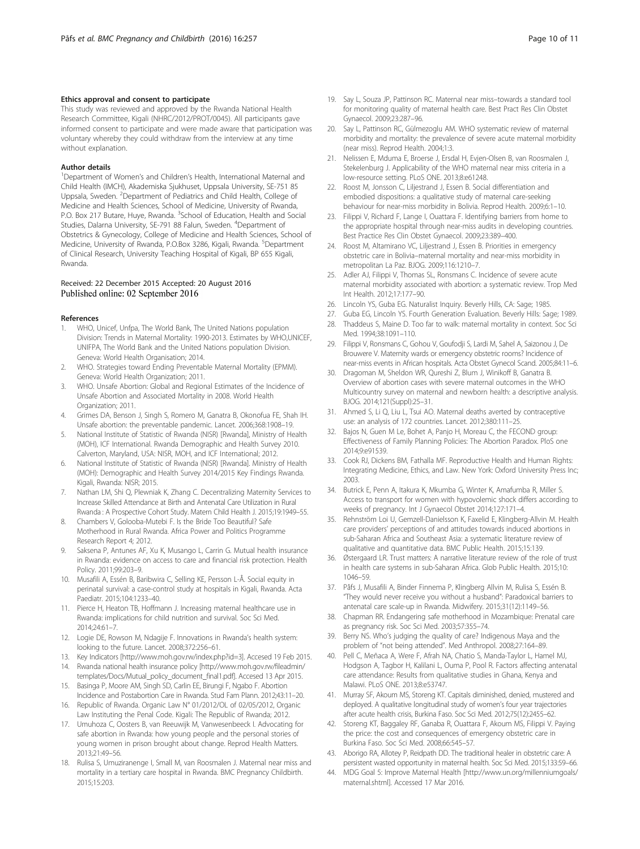#### <span id="page-9-0"></span>Ethics approval and consent to participate

This study was reviewed and approved by the Rwanda National Health Research Committee, Kigali (NHRC/2012/PROT/0045). All participants gave informed consent to participate and were made aware that participation was voluntary whereby they could withdraw from the interview at any time without explanation.

#### Author details

<sup>1</sup>Department of Women's and Children's Health, International Maternal and Child Health (IMCH), Akademiska Sjukhuset, Uppsala University, SE-751 85 Uppsala, Sweden. <sup>2</sup>Department of Pediatrics and Child Health, College of Medicine and Health Sciences, School of Medicine, University of Rwanda, P.O. Box 217 Butare, Huye, Rwanda. <sup>3</sup>School of Education, Health and Social Studies, Dalarna University, SE-791 88 Falun, Sweden. <sup>4</sup>Department of Obstetrics & Gynecology, College of Medicine and Health Sciences, School of Medicine, University of Rwanda, P.O.Box 3286, Kigali, Rwanda. <sup>5</sup>Department of Clinical Research, University Teaching Hospital of Kigali, BP 655 Kigali, Rwanda.

## Received: 22 December 2015 Accepted: 20 August 2016 Published online: 02 September 2016

#### References

- WHO, Unicef, Unfpa, The World Bank, The United Nations population Division: Trends in Maternal Mortality: 1990-2013. Estimates by WHO,UNICEF, UNIFPA, The World Bank and the United Nations population Division. Geneva: World Health Organisation; 2014.
- 2. WHO. Strategies toward Ending Preventable Maternal Mortality (EPMM). Geneva: World Health Organization; 2011.
- 3. WHO. Unsafe Abortion: Global and Regional Estimates of the Incidence of Unsafe Abortion and Associated Mortality in 2008. World Health Organization; 2011.
- 4. Grimes DA, Benson J, Singh S, Romero M, Ganatra B, Okonofua FE, Shah IH. Unsafe abortion: the preventable pandemic. Lancet. 2006;368:1908–19.
- 5. National Institute of Statistic of Rwanda (NISR) [Rwanda], Ministry of Health (MOH), ICF International. Rwanda Demographic and Health Survey 2010. Calverton, Maryland, USA: NISR, MOH, and ICF International; 2012.
- 6. National Institute of Statistic of Rwanda (NISR) [Rwanda]. Ministry of Health (MOH): Demographic and Health Survey 2014/2015 Key Findings Rwanda. Kigali, Rwanda: NISR; 2015.
- 7. Nathan LM, Shi Q, Plewniak K, Zhang C. Decentralizing Maternity Services to Increase Skilled Attendance at Birth and Antenatal Care Utilization in Rural Rwanda : A Prospective Cohort Study. Matern Child Health J. 2015;19:1949–55.
- 8. Chambers V, Golooba-Mutebi F. Is the Bride Too Beautiful? Safe Motherhood in Rural Rwanda. Africa Power and Politics Programme Research Report 4; 2012.
- Saksena P, Antunes AF, Xu K, Musango L, Carrin G. Mutual health insurance in Rwanda: evidence on access to care and financial risk protection. Health Policy. 2011;99:203–9.
- 10. Musafili A, Essén B, Baribwira C, Selling KE, Persson L-Å. Social equity in perinatal survival: a case-control study at hospitals in Kigali, Rwanda. Acta Paediatr. 2015;104:1233–40.
- 11. Pierce H, Heaton TB, Hoffmann J. Increasing maternal healthcare use in Rwanda: implications for child nutrition and survival. Soc Sci Med. 2014;24:61–7.
- 12. Logie DE, Rowson M, Ndagije F. Innovations in Rwanda's health system: looking to the future. Lancet. 2008;372:256–61.
- 13. Key Indicators [<http://www.moh.gov.rw/index.php?id=3>]. Accesed 19 Feb 2015.
- 14. Rwanda national health insurance policy [\[http://www.moh.gov.rw/fileadmin/](http://www.moh.gov.rw/fileadmin/templates/Docs/Mutual_policy_document_final1.pdf) [templates/Docs/Mutual\\_policy\\_document\\_final1.pdf](http://www.moh.gov.rw/fileadmin/templates/Docs/Mutual_policy_document_final1.pdf)]. Accesed 13 Apr 2015.
- 15. Basinga P, Moore AM, Singh SD, Carlin EE, Birungi F, Ngabo F. Abortion Incidence and Postabortion Care in Rwanda. Stud Fam Plann. 2012;43:11–20.
- 16. Republic of Rwanda. Organic Law N° 01/2012/OL of 02/05/2012, Organic Law Instituting the Penal Code. Kigali: The Republic of Rwanda; 2012.
- 17. Umuhoza C, Oosters B, van Reeuwijk M, Vanwesenbeeck I. Advocating for safe abortion in Rwanda: how young people and the personal stories of young women in prison brought about change. Reprod Health Matters. 2013;21:49–56.
- 18. Rulisa S, Umuziranenge I, Small M, van Roosmalen J. Maternal near miss and mortality in a tertiary care hospital in Rwanda. BMC Pregnancy Childbirth. 2015;15:203.
- 19. Say L, Souza JP, Pattinson RC. Maternal near miss–towards a standard tool for monitoring quality of maternal health care. Best Pract Res Clin Obstet Gynaecol. 2009;23:287–96.
- 20. Say L, Pattinson RC, Gülmezoglu AM. WHO systematic review of maternal morbidity and mortality: the prevalence of severe acute maternal morbidity (near miss). Reprod Health. 2004;1:3.
- 21. Nelissen E, Mduma E, Broerse J, Ersdal H, Evjen-Olsen B, van Roosmalen J, Stekelenburg J. Applicability of the WHO maternal near miss criteria in a low-resource setting. PLoS ONE. 2013;8:e61248.
- 22. Roost M, Jonsson C, Liljestrand J, Essen B. Social differentiation and embodied dispositions: a qualitative study of maternal care-seeking behaviour for near-miss morbidity in Bolivia. Reprod Health. 2009;6:1–10.
- 23. Filippi V, Richard F, Lange I, Ouattara F. Identifying barriers from home to the appropriate hospital through near-miss audits in developing countries. Best Practice Res Clin Obstet Gynaecol. 2009;23:389–400.
- 24. Roost M, Altamirano VC, Liljestrand J, Essen B. Priorities in emergency obstetric care in Bolivia–maternal mortality and near-miss morbidity in metropolitan La Paz. BJOG. 2009;116:1210–7.
- 25. Adler AJ, Filippi V, Thomas SL, Ronsmans C. Incidence of severe acute maternal morbidity associated with abortion: a systematic review. Trop Med Int Health. 2012;17:177–90.
- 26. Lincoln YS, Guba EG. Naturalist Inquiry. Beverly Hills, CA: Sage; 1985.
- 27. Guba EG, Lincoln YS. Fourth Generation Evaluation. Beverly Hills: Sage; 1989. 28. Thaddeus S, Maine D. Too far to walk: maternal mortality in context. Soc Sci Med. 1994;38:1091–110.
- 29. Filippi V, Ronsmans C, Gohou V, Goufodji S, Lardi M, Sahel A, Saizonou J, De Brouwere V. Maternity wards or emergency obstetric rooms? Incidence of near-miss events in African hospitals. Acta Obstet Gynecol Scand. 2005;84:11–6.
- 30. Dragoman M, Sheldon WR, Qureshi Z, Blum J, Winikoff B, Ganatra B. Overview of abortion cases with severe maternal outcomes in the WHO Multicountry survey on maternal and newborn health: a descriptive analysis. BJOG. 2014;121(Suppl):25–31.
- 31. Ahmed S, Li Q, Liu L, Tsui AO. Maternal deaths averted by contraceptive use: an analysis of 172 countries. Lancet. 2012;380:111–25.
- 32. Bajos N, Guen M Le, Bohet A, Panjo H, Moreau C, the FECOND group: Effectiveness of Family Planning Policies: The Abortion Paradox. PloS one 2014;9:e91539.
- 33. Cook RJ, Dickens BM, Fathalla MF. Reproductive Health and Human Rights: Integrating Medicine, Ethics, and Law. New York: Oxford University Press Inc; 2003.
- 34. Butrick E, Penn A, Itakura K, Mkumba G, Winter K, Amafumba R, Miller S. Access to transport for women with hypovolemic shock differs according to weeks of pregnancy. Int J Gynaecol Obstet 2014;127:171–4.
- 35. Rehnström Loi U, Gemzell-Danielsson K, Faxelid E, Klingberg-Allvin M. Health care providers' perceptions of and attitudes towards induced abortions in sub-Saharan Africa and Southeast Asia: a systematic literature review of qualitative and quantitative data. BMC Public Health. 2015;15:139.
- 36. Østergaard LR. Trust matters: A narrative literature review of the role of trust in health care systems in sub-Saharan Africa. Glob Public Health. 2015;10: 1046–59.
- 37. Påfs J, Musafili A, Binder Finnema P, Klingberg Allvin M, Rulisa S, Essén B. "They would never receive you without a husband": Paradoxical barriers to antenatal care scale-up in Rwanda. Midwifery. 2015;31(12):1149–56.
- 38. Chapman RR. Endangering safe motherhood in Mozambique: Prenatal care as pregnancy risk. Soc Sci Med. 2003;57:355–74.
- 39. Berry NS. Who's judging the quality of care? Indigenous Maya and the problem of "not being attended". Med Anthropol. 2008;27:164–89.
- 40. Pell C, Meñaca A, Were F, Afrah NA, Chatio S, Manda-Taylor L, Hamel MJ, Hodgson A, Tagbor H, Kalilani L, Ouma P, Pool R. Factors affecting antenatal care attendance: Results from qualitative studies in Ghana, Kenya and Malawi. PLoS ONE. 2013;8:e53747.
- 41. Murray SF, Akoum MS, Storeng KT. Capitals diminished, denied, mustered and deployed. A qualitative longitudinal study of women's four year trajectories after acute health crisis, Burkina Faso. Soc Sci Med. 2012;75(12):2455–62.
- 42. Storeng KT, Baggaley RF, Ganaba R, Ouattara F, Akoum MS, Filippi V. Paying the price: the cost and consequences of emergency obstetric care in Burkina Faso. Soc Sci Med. 2008;66:545–57.
- 43. Aborigo RA, Allotey P, Reidpath DD. The traditional healer in obstetric care: A persistent wasted opportunity in maternal health. Soc Sci Med. 2015;133:59–66.
- 44. MDG Goal 5: Improve Maternal Health [\[http://www.un.org/millenniumgoals/](http://www.un.org/millenniumgoals/maternal.shtml) [maternal.shtml\]](http://www.un.org/millenniumgoals/maternal.shtml). Accessed 17 Mar 2016.